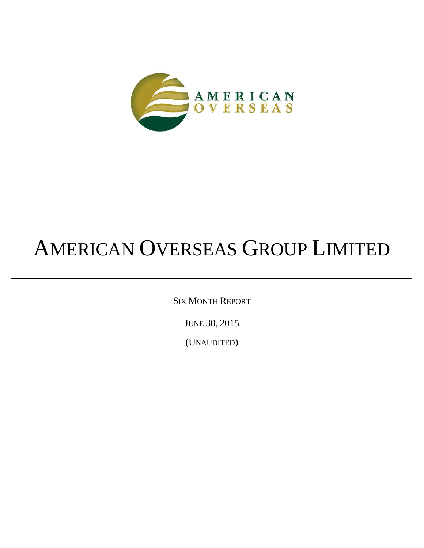

# AMERICAN OVERSEAS GROUP LIMITED

SIX MONTH REPORT

JUNE 30, 2015

(UNAUDITED)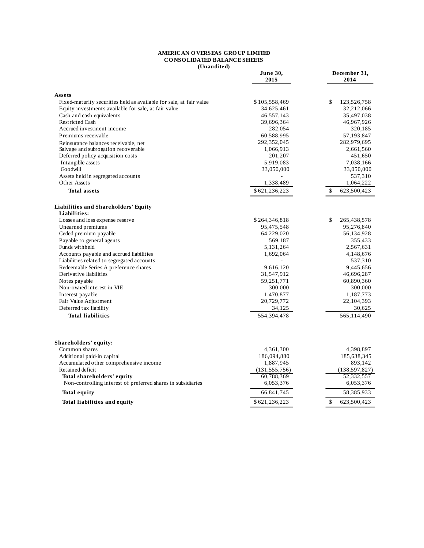#### **AMERICAN O VERSEAS GRO UP LIMITED CO NSO LIDATED BALANCE SHEETS (Unaudited)**

|                                                                     | June 30,<br>2015 | December 31,<br>2014        |  |  |
|---------------------------------------------------------------------|------------------|-----------------------------|--|--|
| Assets                                                              |                  |                             |  |  |
| Fixed-maturity securities held as available for sale, at fair value | \$105,558,469    | \$<br>123,526,758           |  |  |
| Equity investments available for sale, at fair value                | 34,625,461       | 32,212,066                  |  |  |
| Cash and cash equivalents                                           | 46,557,143       | 35,497,038                  |  |  |
| <b>Restricted Cash</b>                                              | 39,696,364       | 46,967,926                  |  |  |
| Accrued investment income                                           | 282,054          | 320,185                     |  |  |
| Premiums receivable                                                 | 60,588,995       | 57,193,847                  |  |  |
| Reinsurance balances receivable, net                                | 292,352,045      | 282,979,695                 |  |  |
| Salvage and subrogation recoverable                                 | 1,066,913        | 2,661,560                   |  |  |
| Deferred policy acquisition costs                                   | 201,207          | 451,650                     |  |  |
| Intangible assets                                                   | 5,919,083        | 7,038,166                   |  |  |
| Goodwill                                                            | 33,050,000       | 33,050,000                  |  |  |
| Assets held in segregated accounts                                  |                  | 537,310                     |  |  |
| Other Assets                                                        | 1,338,489        | 1,064,222                   |  |  |
| <b>Total assets</b>                                                 | \$621,236,223    | $\mathbb{S}$<br>623,500,423 |  |  |
| <b>Liabilities and Shareholders' Equity</b>                         |                  |                             |  |  |
| Liabilities:                                                        |                  |                             |  |  |
| Losses and loss expense reserve                                     | \$264,346,818    | \$<br>265,438,578           |  |  |
| Unearned premiums                                                   | 95,475,548       | 95,276,840                  |  |  |
| Ceded premium payable                                               | 64,229,020       | 56,134,928                  |  |  |
| Payable to general agents                                           | 569,187          | 355,433                     |  |  |
| Funds withheld                                                      | 5,131,264        | 2,567,631                   |  |  |
| Accounts payable and accrued liabilities                            | 1,692,064        | 4,148,676                   |  |  |
| Liabilities related to segregated accounts                          |                  | 537,310                     |  |  |
| Redeemable Series A preference shares                               | 9,616,120        | 9,445,656                   |  |  |
| Derivative liabilities                                              | 31,547,912       | 46,696,287                  |  |  |
| Notes payable                                                       | 59,251,771       | 60,890,360                  |  |  |
| Non-owned interest in VIE                                           | 300,000          | 300,000                     |  |  |
| Interest payable                                                    | 1,470,877        | 1,187,773                   |  |  |
| Fair Value Adjustment                                               | 20,729,772       | 22, 104, 393                |  |  |
| Deferred tax liability                                              | 34,125           | 30,625                      |  |  |
| <b>Total liabilities</b>                                            | 554,394,478      | 565,114,490                 |  |  |
|                                                                     |                  |                             |  |  |
| Shareholders' equity:                                               |                  |                             |  |  |
| Common shares                                                       | 4,361,300        | 4,398,897                   |  |  |
| Additional paid-in capital                                          | 186,094,880      | 185,638,345                 |  |  |
| Accumulated other comprehensive income                              | 1,887,945        | 893,142                     |  |  |
| Retained deficit                                                    | (131, 555, 756)  | (138, 597, 827)             |  |  |
| Total shareholders' equity                                          | 60,788,369       | 52,332,557                  |  |  |
| Non-controlling interest of preferred shares in subsidiaries        | 6,053,376        | 6,053,376                   |  |  |
| <b>Total equity</b>                                                 | 66,841,745       | 58,385,933                  |  |  |
| Total liabilities and equity                                        | \$621,236,223    | \$<br>623,500,423           |  |  |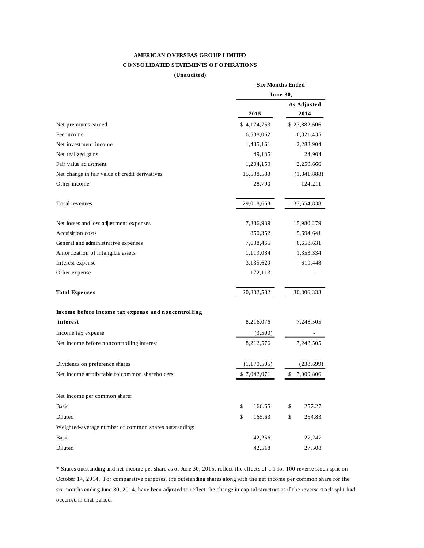# **AMERICAN O VERSEAS GRO UP LIMITED CO NSO LIDATED STATEMENTS O F O PERATIO NS**

**(Unaudited)**

|                                                       | <b>Six Months Ended</b> |                 |  |  |
|-------------------------------------------------------|-------------------------|-----------------|--|--|
|                                                       | June 30,                |                 |  |  |
|                                                       |                         | As Adjusted     |  |  |
|                                                       | 2015                    | 2014            |  |  |
| Net premiums earned                                   | \$4,174,763             | \$27,882,606    |  |  |
| Fee income                                            | 6,538,062               | 6,821,435       |  |  |
| Net investment income                                 | 1,485,161               | 2,283,904       |  |  |
| Net realized gains                                    | 49,135                  | 24,904          |  |  |
| Fair value adjustment                                 | 1,204,159               | 2,259,666       |  |  |
| Net change in fair value of credit derivatives        | 15,538,588              | (1,841,888)     |  |  |
| Other income                                          | 28,790                  | 124,211         |  |  |
| Total revenues                                        | 29,018,658              | 37,554,838      |  |  |
| Net losses and loss adjustment expenses               | 7,886,939               | 15,980,279      |  |  |
| Acquisition costs                                     | 850,352                 | 5,694,641       |  |  |
| General and administrative expenses                   | 7,638,465               | 6,658,631       |  |  |
| Amortization of intangible assets                     | 1,119,084               | 1,353,334       |  |  |
| Interest expense                                      | 3,135,629               | 619,448         |  |  |
| Other expense                                         | 172,113                 |                 |  |  |
| <b>Total Expenses</b>                                 | 20,802,582              | 30,306,333      |  |  |
| Income before income tax expense and noncontrolling   |                         |                 |  |  |
| interest                                              | 8,216,076               | 7,248,505       |  |  |
| Income tax expense                                    | (3,500)                 |                 |  |  |
| Net income before noncontrolling interest             | 8,212,576               | 7,248,505       |  |  |
| Dividends on preference shares                        | (1,170,505)             | (238,699)       |  |  |
| Net income attributable to common shareholders        | \$7,042,071             | \$<br>7,009,806 |  |  |
| Net income per common share:                          |                         |                 |  |  |
| Basic                                                 | \$<br>166.65            | \$<br>257.27    |  |  |
| Diluted                                               | \$<br>165.63            | \$<br>254.83    |  |  |
| Weighted-average number of common shares outstanding: |                         |                 |  |  |
| Basic                                                 | 42,256                  | 27,247          |  |  |
| Diluted                                               | 42,518                  | 27,508          |  |  |
|                                                       |                         |                 |  |  |

\* Shares outstanding and net income per share as of June 30, 2015, reflect the effects of a 1 for 100 reverse stock split on October 14, 2014. For comparative purposes, the outstanding shares along with the net income per common share for the six months ending June 30, 2014, have been adjusted to reflect the change in capital structure as if the reverse stock split had occurred in that period.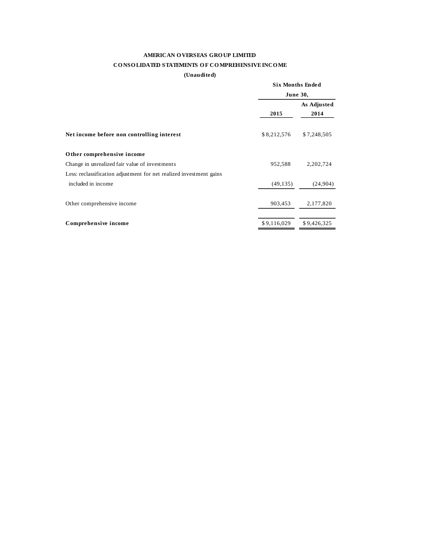# **AMERICAN O VERSEAS GRO UP LIMITED CO NSO LIDATED STATEMENTS O F CO MPREHENSIVE INCO ME**

#### **(Unaudited)**

|                                                                     |             | <b>Six Months Ended</b> |  |  |
|---------------------------------------------------------------------|-------------|-------------------------|--|--|
|                                                                     | June 30,    |                         |  |  |
|                                                                     |             | As Adjusted             |  |  |
|                                                                     | 2015        | 2014                    |  |  |
| Net income before non controlling interest                          | \$8,212,576 | \$7,248,505             |  |  |
| Other comprehensive income                                          |             |                         |  |  |
| Change in unrealized fair value of investments                      | 952,588     | 2,202,724               |  |  |
| Less: reclassification adjustment for net realized investment gains |             |                         |  |  |
| included in income                                                  | (49, 135)   | (24,904)                |  |  |
| Other comprehensive income                                          | 903,453     | 2,177,820               |  |  |
|                                                                     |             |                         |  |  |
| Comprehensive income                                                | \$9,116,029 | \$9.426.325             |  |  |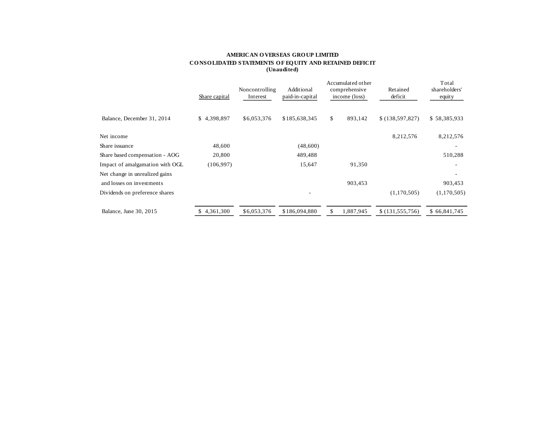#### **AMERICAN O VERSEAS GRO UP LIMITED CO NSO LIDATED STATEMENTS O F EQ UITY AND RETAINED DEFICIT (Unaudited)**

|                                 | Share capital   | Noncontrolling<br>Interest | Additional<br>paid-in-capital | Accumulated other<br>comprehensive<br>income (loss) | Retained<br>deficit | Total<br>shareholders'<br>equity |
|---------------------------------|-----------------|----------------------------|-------------------------------|-----------------------------------------------------|---------------------|----------------------------------|
| Balance, December 31, 2014      | \$4,398,897     | \$6,053,376                | \$185,638,345                 | \$<br>893,142                                       | \$(138, 597, 827)   | \$58,385,933                     |
| Net income                      |                 |                            |                               |                                                     | 8,212,576           | 8,212,576                        |
| Share issuance                  | 48,600          |                            | (48,600)                      |                                                     |                     |                                  |
| Share based compensation - AOG  | 20,800          |                            | 489,488                       |                                                     |                     | 510,288                          |
| Impact of amalgamation with OGL | (106, 997)      |                            | 15,647                        | 91,350                                              |                     |                                  |
| Net change in unrealized gains  |                 |                            |                               |                                                     |                     |                                  |
| and losses on investments       |                 |                            |                               | 903,453                                             |                     | 903,453                          |
| Dividends on preference shares  |                 |                            |                               |                                                     | (1,170,505)         | (1,170,505)                      |
| Balance, June 30, 2015          | 4,361,300<br>S. | \$6,053,376                | \$186,094,880                 | \$<br>1,887,945                                     | \$(131,555,756)     | \$66,841,745                     |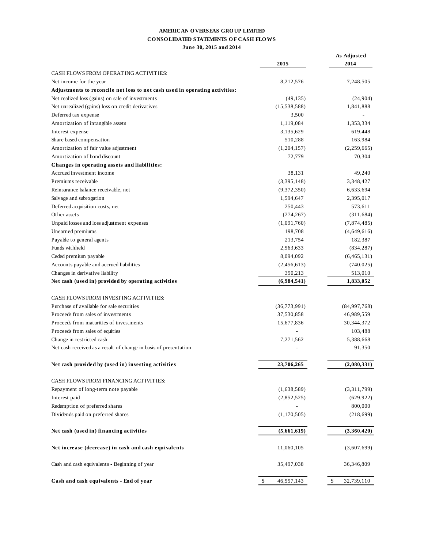## **AMERICAN O VERSEAS GRO UP LIMITED CO NSO LIDATED STATEMENTS O F CASH FLO WS June 30, 2015 and 2014**

|                                                                             | 2015             | As Adjusted<br>2014 |
|-----------------------------------------------------------------------------|------------------|---------------------|
| CASH FLOWS FROM OPERATING ACTIVITIES:                                       |                  |                     |
| Net income for the year                                                     | 8,212,576        | 7,248,505           |
| Adjustments to reconcile net loss to net cash used in operating activities: |                  |                     |
| Net realized loss (gains) on sale of investments                            | (49, 135)        | (24,904)            |
| Net unrealized (gains) loss on credit derivatives                           | (15, 538, 588)   | 1,841,888           |
| Deferred tax expense                                                        | 3,500            |                     |
| Amortization of intangible assets                                           | 1,119,084        | 1,353,334           |
| Interest expense                                                            | 3,135,629        | 619,448             |
| Share based compensation                                                    | 510,288          | 163,984             |
| Amortization of fair value adjustment                                       | (1, 204, 157)    | (2,259,665)         |
| Amortization of bond discount                                               | 72,779           | 70,304              |
| Changes in operating assets and liabilities:                                |                  |                     |
| Accrued investment income                                                   | 38,131           | 49,240              |
| Premiums receivable                                                         | (3,395,148)      | 3,348,427           |
| Reinsurance balance receivable, net                                         | (9,372,350)      | 6,633,694           |
| Salvage and subrogation                                                     | 1,594,647        | 2,395,017           |
| Deferred acquisition costs, net                                             | 250,443          | 573,611             |
| Other assets                                                                | (274, 267)       | (311, 684)          |
| Unpaid losses and loss adjustment expenses                                  | (1,091,760)      | (7,874,485)         |
| Unearned premiums                                                           | 198,708          | (4,649,616)         |
| Payable to general agents                                                   | 213,754          | 182,387             |
| Funds withheld                                                              | 2,563,633        | (834, 287)          |
| Ceded premium payable                                                       | 8,094,092        | (6,465,131)         |
| Accounts payable and accrued liabilities                                    | (2,456,613)      | (740, 025)          |
| Changes in derivative liability                                             | 390,213          | 513,010             |
| Net cash (used in) provided by operating activities                         | (6,984,541)      | 1,833,052           |
|                                                                             |                  |                     |
| CASH FLOWS FROM INVESTING ACTIVITIES:                                       |                  |                     |
| Purchase of available for sale securities                                   | (36, 773, 991)   | (84,997,768)        |
| Proceeds from sales of investments                                          | 37,530,858       | 46,989,559          |
| Proceeds from maturities of investments                                     | 15,677,836       | 30, 344, 372        |
| Proceeds from sales of equities                                             |                  | 103,488             |
| Change in restricted cash                                                   | 7,271,562        | 5,388,668           |
| Net cash received as a result of change in basis of presentation            |                  | 91,350              |
|                                                                             |                  |                     |
| Net cash provided by (used in) investing activities                         | 23,706,265       | (2,080,331)         |
|                                                                             |                  |                     |
| CASH FLOWS FROM FINANCING ACTIVITIES:                                       |                  |                     |
| Repayment of long-term note payable                                         | (1,638,589)      | (3,311,799)         |
| Interest paid                                                               | (2,852,525)      | (629, 922)          |
| Redemption of preferred shares                                              |                  | 800,000             |
| Dividends paid on preferred shares                                          | (1,170,505)      | (218,699)           |
|                                                                             |                  |                     |
| Net cash (used in) financing activities                                     | (5,661,619)      | (3,360,420)         |
| Net increase (decrease) in cash and cash equivalents                        | 11,060,105       | (3,607,699)         |
| Cash and cash equivalents - Beginning of year                               | 35,497,038       | 36,346,809          |
| Cash and cash equivalents - End of year                                     | \$<br>46,557,143 | \$<br>32,739,110    |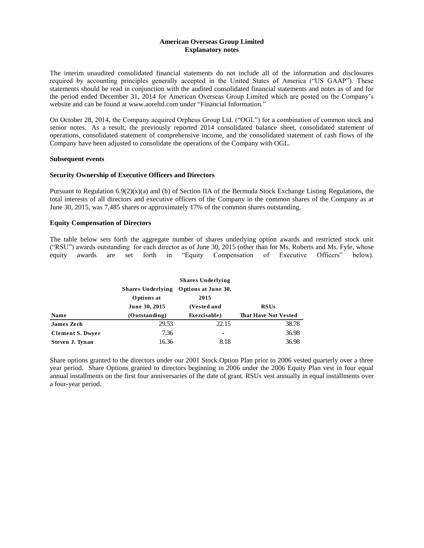#### **American Overseas Group Limited Explanatory notes**

The interim unaudited consolidated financial statements do not include all of the information and disclosures required by accounting principles generally accepted in the United States of America ("US GAAP"). These statements should be read in conjunction with the audited consolidated financial statements and notes as of and for the period ended December 31, 2014 for American Overseas Group Limited which are posted on the Company's website and can be found at www.aoreltd.com under "Financial Information."

On October 28, 2014, the Company acquired Orpheus Group Ltd. ("OGL") for a combination of common stock and senior notes. As a result, the previously reported 2014 consolidated balance sheet, consolidated statement of operations, consolidated statement of comprehensive income, and the consolidated statement of cash flows of the Company have been adjusted to consolidate the operations of the Company with OGL.

#### **Subsequent events**

#### **Security Ownership of Executive Officers and Directors**

Pursuant to Regulation  $6.9(2)(x)(a)$  and (b) of Section IIA of the Bermuda Stock Exchange Listing Regulations, the total interests of all directors and executive officers of the Company in the common shares of the Company as at June 30, 2015, was 7,485 shares or approximately 17% of the common shares outstanding.

## **Equity Compensation of Directors**

The table below sets forth the aggregate number of shares underlying option awards and restricted stock unit ("RSU") awards outstanding for each director as of June 30, 2015 (other than for Ms. Roberts and Ms. Fyfe, whose equity awards are set forth in "Equity Compensation of Executive Officers" below).

|                         | <b>Shares Underlying</b> |                                                             |                             |  |  |  |
|-------------------------|--------------------------|-------------------------------------------------------------|-----------------------------|--|--|--|
|                         |                          | Shares Underlying Options at June 30,<br>Options at<br>2015 |                             |  |  |  |
|                         | June 30, 2015            | (Vested and                                                 | <b>RSUs</b>                 |  |  |  |
| <b>Name</b>             | (Outstanding)            | Exercisable)                                                | <b>That Have Not Vested</b> |  |  |  |
| <b>James Zech</b>       | 29.53                    | 22.15                                                       | 38.78                       |  |  |  |
| <b>Clement S. Dwyer</b> | 7.36                     |                                                             | 36.98                       |  |  |  |
| Steven J. Tynan         | 16.36                    | 8.18                                                        | 36.98                       |  |  |  |

Share options granted to the directors under our 2001 Stock Option Plan prior to 2006 vested quarterly over a three year period. Share Options granted to directors beginning in 2006 under the 2006 Equity Plan vest in four equal annual installments on the first four anniversaries of the date of grant. RSUs vest annually in equal installments over a four-year period.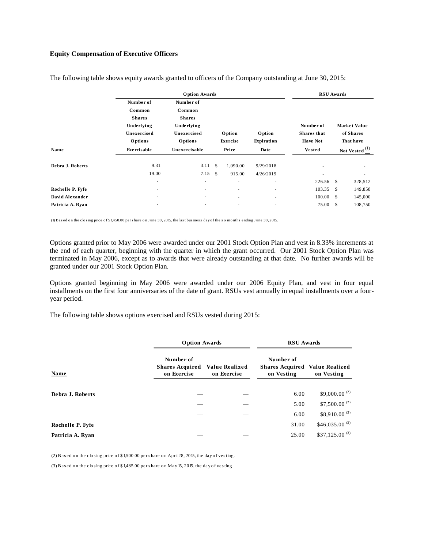## **Equity Compensation of Executive Officers**

|                  |                                                                              | <b>Option Awards</b>                                                         |              |                          |                             | <b>RSU</b> Awards                                  |              |                                               |
|------------------|------------------------------------------------------------------------------|------------------------------------------------------------------------------|--------------|--------------------------|-----------------------------|----------------------------------------------------|--------------|-----------------------------------------------|
|                  | Number of<br>Common<br><b>Shares</b><br>Underlying<br>Unexercised<br>Options | Number of<br>Common<br><b>Shares</b><br>Underlying<br>Unexercised<br>Options |              | Option<br>Exercise       | <b>Option</b><br>Expiration | Number of<br><b>Shares</b> that<br><b>Have Not</b> |              | <b>Market Value</b><br>of Shares<br>That have |
| Name             | Exercisable                                                                  | Unexercisable                                                                |              | Price                    | Date                        | <b>Vested</b>                                      |              | (1)<br><b>Not Vested</b>                      |
| Debra J. Roberts | 9.31<br>19.00                                                                | 3.11<br>$7.15$ \$                                                            | $\mathbf{s}$ | 1,090.00<br>915.00       | 9/29/2018<br>4/26/2019      | $\overline{\phantom{a}}$                           |              | ٠<br>$\overline{\phantom{a}}$                 |
|                  | ٠                                                                            | ٠                                                                            |              | $\overline{\phantom{a}}$ | ٠                           | 226.56 \$                                          |              | 328,512                                       |
| Rochelle P. Fyfe | ٠                                                                            | $\overline{\phantom{a}}$                                                     |              | $\sim$                   | $\sim$                      | 103.35                                             | - \$         | 149,858                                       |
| David Alexander  | $\overline{\phantom{a}}$                                                     | ٠                                                                            |              | $\sim$                   | ٠                           | 100.00                                             | $\mathbf{s}$ | 145,000                                       |
| Patricia A. Ryan | ٠                                                                            |                                                                              |              | $\overline{\phantom{a}}$ | $\overline{\phantom{a}}$    | 75.00                                              | $\mathbf{s}$ | 108,750                                       |

The following table shows equity awards granted to officers of the Company outstanding at June 30, 2015:

(1) Bas ed o n the clo s ing price o f \$ 1,450.00 per s hare o n J une 30, 2015, the las t bus ines s day o f the s ix mo nths ending J une 30, 2015.

Options granted prior to May 2006 were awarded under our 2001 Stock Option Plan and vest in 8.33% increments at the end of each quarter, beginning with the quarter in which the grant occurred. Our 2001 Stock Option Plan was terminated in May 2006, except as to awards that were already outstanding at that date. No further awards will be granted under our 2001 Stock Option Plan.

Options granted beginning in May 2006 were awarded under our 2006 Equity Plan, and vest in four equal installments on the first four anniversaries of the date of grant. RSUs vest annually in equal installments over a fouryear period.

The following table shows options exercised and RSUs vested during 2015:

|                  | <b>Option Awards</b>                               |                               | <b>RSU</b> Awards                                                |                             |  |
|------------------|----------------------------------------------------|-------------------------------|------------------------------------------------------------------|-----------------------------|--|
| Name             | Number of<br><b>Shares Acquired</b><br>on Exercise | Value Realized<br>on Exercise | Number of<br><b>Shares Acquired Value Realized</b><br>on Vesting | on Vesting                  |  |
| Debra J. Roberts |                                                    |                               | 6.00                                                             | \$9,000.00 $^{(2)}$         |  |
|                  |                                                    |                               | 5.00                                                             | \$7,500.00 $^{(2)}$         |  |
|                  |                                                    |                               | 6.00                                                             | $$8,910.00$ <sup>(3)</sup>  |  |
| Rochelle P. Fyfe |                                                    |                               | 31.00                                                            | \$46,035.00 <sup>(3)</sup>  |  |
| Patricia A. Ryan |                                                    |                               | 25.00                                                            | $$37,125.00$ <sup>(3)</sup> |  |

(2) Bas ed o n the clo s ing price o f \$ 1,500.00 per s hare o n April 28, 2015, the day o f ves ting.

(3) Bas ed o n the clo s ing price o f \$ 1,485.00 per s hare o n May 15, 2015, the day o f ves ting